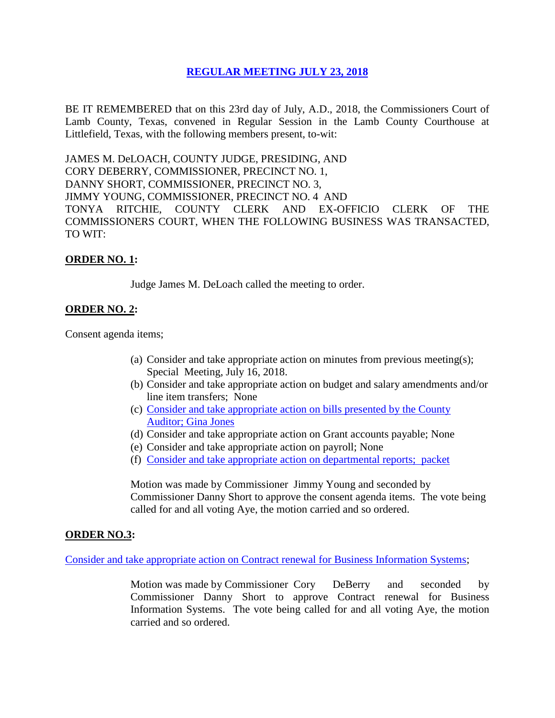# **REGULAR [MEETING JULY 23, 2018](Links%202018-07-23-Regular/01%20AGENDA%20REGULAR%20MEETING%20JULY%2023,%202018.pdf)**

BE IT REMEMBERED that on this 23rd day of July, A.D., 2018, the Commissioners Court of Lamb County, Texas, convened in Regular Session in the Lamb County Courthouse at Littlefield, Texas, with the following members present, to-wit:

JAMES M. DeLOACH, COUNTY JUDGE, PRESIDING, AND CORY DEBERRY, COMMISSIONER, PRECINCT NO. 1, DANNY SHORT, COMMISSIONER, PRECINCT NO. 3, JIMMY YOUNG, COMMISSIONER, PRECINCT NO. 4 AND TONYA RITCHIE, COUNTY CLERK AND EX-OFFICIO CLERK OF THE COMMISSIONERS COURT, WHEN THE FOLLOWING BUSINESS WAS TRANSACTED, TO WIT:

### **ORDER NO. 1:**

Judge James M. DeLoach called the meeting to order.

## **ORDER NO. 2:**

Consent agenda items;

- (a) Consider and take appropriate action on minutes from previous meeting(s); Special Meeting, July 16, 2018.
- (b) Consider and take appropriate action on budget and salary amendments and/or line item transfers; None
- (c) [Consider and take appropriate action on bills presented by the County](Links%202018-07-23-Regular/03%20ACCOUNTS%20PAYABLE%20REGULAR%20MEETING%20JULY%2023,%202018.pdf)  Auditor; [Gina Jones](Links%202018-07-23-Regular/03%20ACCOUNTS%20PAYABLE%20REGULAR%20MEETING%20JULY%2023,%202018.pdf)
- (d) Consider and take appropriate action on Grant accounts payable; None
- (e) Consider and take appropriate action on payroll; None
- (f) [Consider and take appropriate action on departmental reports; packet](Links%202018-07-23-Regular/04%20DEPARTMENTAL%20REPORTS%20REGULAR%20MEETING%20JULY%2023,%202018.pdf)

Motion was made by Commissioner Jimmy Young and seconded by Commissioner Danny Short to approve the consent agenda items. The vote being called for and all voting Aye, the motion carried and so ordered.

#### **ORDER NO.3:**

[Consider and take appropriate action on Contract renewal for Business Information Systems;](Links%202018-07-23-Regular/05%20CONTRACT%20RENEWAL%20FOR%20BUSINESS%20INFORMATION%20SYSTEMS%20REGULAR%20MEETING%20JULY%2023,%202018.pdf)

Motion was made by Commissioner Cory DeBerry and seconded by Commissioner Danny Short to approve Contract renewal for Business Information Systems. The vote being called for and all voting Aye, the motion carried and so ordered.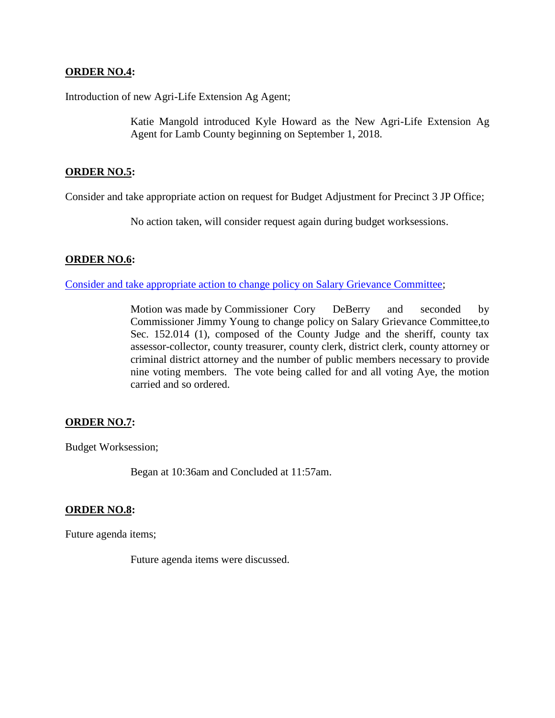### **ORDER NO.4:**

Introduction of new Agri-Life Extension Ag Agent;

Katie Mangold introduced Kyle Howard as the New Agri-Life Extension Ag Agent for Lamb County beginning on September 1, 2018.

### **ORDER NO.5:**

Consider and take appropriate action on request for Budget Adjustment for Precinct 3 JP Office;

No action taken, will consider request again during budget worksessions.

### **ORDER NO.6:**

[Consider and take appropriate action to change policy on Salary Grievance Committee;](Links%202018-07-23-Regular/06%20SALARY%20GRIEVANCE%20COMMITTEE%20REGULAR%20MEETING%20JULY%2023,%202018.pdf)

Motion was made by Commissioner Cory DeBerry and seconded by Commissioner Jimmy Young to change policy on Salary Grievance Committee,to Sec. 152.014 (1), composed of the County Judge and the sheriff, county tax assessor-collector, county treasurer, county clerk, district clerk, county attorney or criminal district attorney and the number of public members necessary to provide nine voting members. The vote being called for and all voting Aye, the motion carried and so ordered.

## **ORDER NO.7:**

Budget Worksession;

Began at 10:36am and Concluded at 11:57am.

#### **ORDER NO.8:**

Future agenda items;

Future agenda items were discussed.